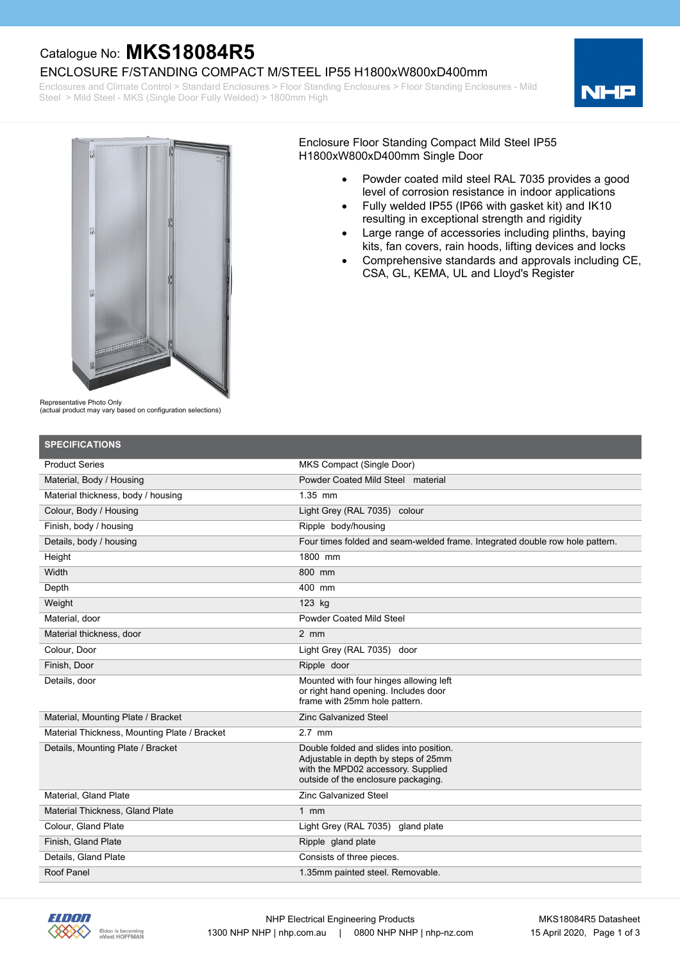### Catalogue No: **MKS18084R5**

ENCLOSURE F/STANDING COMPACT M/STEEL IP55 H1800xW800xD400mm

Enclosures and Climate Control > Standard Enclosures > Floor Standing Enclosures > Floor Standing Enclosures - Mild Steel > Mild Steel - MKS (Single Door Fully Welded) > 1800mm High





Enclosure Floor Standing Compact Mild Steel IP55 H1800xW800xD400mm Single Door

- · Powder coated mild steel RAL 7035 provides a good level of corrosion resistance in indoor applications
- · Fully welded IP55 (IP66 with gasket kit) and IK10 resulting in exceptional strength and rigidity
- · Large range of accessories including plinths, baying kits, fan covers, rain hoods, lifting devices and locks
- · Comprehensive standards and approvals including CE, CSA, GL, KEMA, UL and Lloyd's Register

Representative Photo Only

(actual product may vary based on configuration selections)

| <b>SPECIFICATIONS</b>                        |                                                                                                                                                              |
|----------------------------------------------|--------------------------------------------------------------------------------------------------------------------------------------------------------------|
| <b>Product Series</b>                        | MKS Compact (Single Door)                                                                                                                                    |
| Material, Body / Housing                     | Powder Coated Mild Steel material                                                                                                                            |
| Material thickness, body / housing           | $1.35$ mm                                                                                                                                                    |
| Colour, Body / Housing                       | Light Grey (RAL 7035) colour                                                                                                                                 |
| Finish, body / housing                       | Ripple body/housing                                                                                                                                          |
| Details, body / housing                      | Four times folded and seam-welded frame. Integrated double row hole pattern.                                                                                 |
| Height                                       | 1800 mm                                                                                                                                                      |
| Width                                        | 800 mm                                                                                                                                                       |
| Depth                                        | 400 mm                                                                                                                                                       |
| Weight                                       | 123 kg                                                                                                                                                       |
| Material, door                               | <b>Powder Coated Mild Steel</b>                                                                                                                              |
| Material thickness, door                     | $2 \, \text{mm}$                                                                                                                                             |
| Colour, Door                                 | Light Grey (RAL 7035) door                                                                                                                                   |
| Finish, Door                                 | Ripple door                                                                                                                                                  |
| Details, door                                | Mounted with four hinges allowing left<br>or right hand opening. Includes door<br>frame with 25mm hole pattern.                                              |
| Material, Mounting Plate / Bracket           | <b>Zinc Galvanized Steel</b>                                                                                                                                 |
| Material Thickness, Mounting Plate / Bracket | $2.7$ mm                                                                                                                                                     |
| Details, Mounting Plate / Bracket            | Double folded and slides into position.<br>Adjustable in depth by steps of 25mm<br>with the MPD02 accessory. Supplied<br>outside of the enclosure packaging. |
| Material, Gland Plate                        | <b>Zinc Galvanized Steel</b>                                                                                                                                 |
| <b>Material Thickness, Gland Plate</b>       | 1 $mm$                                                                                                                                                       |
| Colour, Gland Plate                          | Light Grey (RAL 7035) gland plate                                                                                                                            |
| Finish, Gland Plate                          | Ripple gland plate                                                                                                                                           |
| Details. Gland Plate                         | Consists of three pieces.                                                                                                                                    |
| Roof Panel                                   | 1.35mm painted steel. Removable.                                                                                                                             |

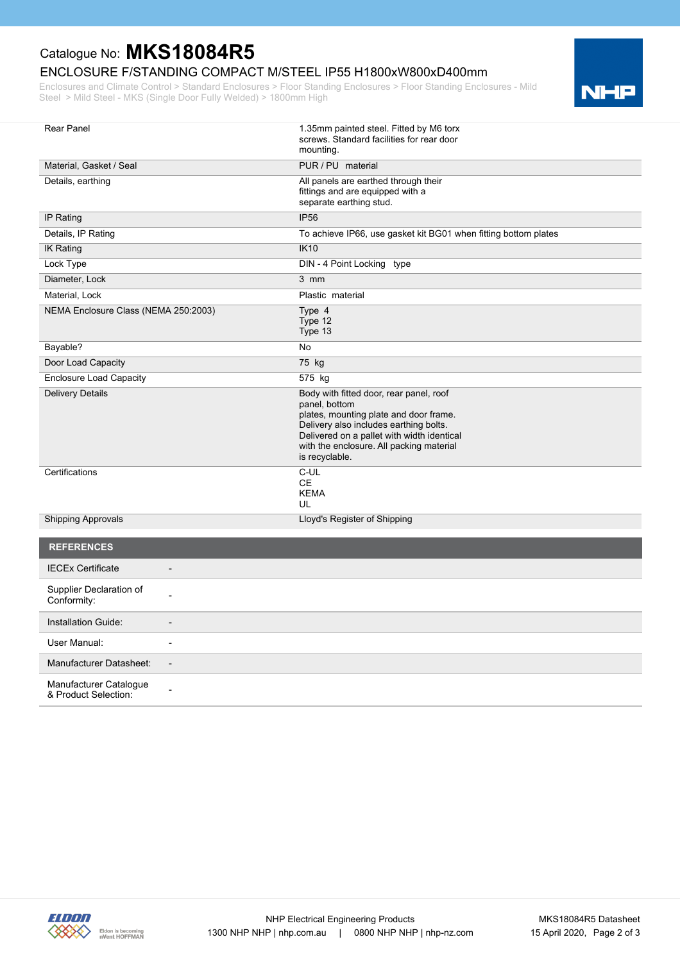# Catalogue No: **MKS18084R5**

### ENCLOSURE F/STANDING COMPACT M/STEEL IP55 H1800xW800xD400mm

Enclosures and Climate Control > Standard Enclosures > Floor Standing Enclosures > Floor Standing Enclosures - Mild Steel > Mild Steel - MKS (Single Door Fully Welded) > 1800mm High



| <b>Rear Panel</b>                                   | 1.35mm painted steel. Fitted by M6 torx<br>screws. Standard facilities for rear door<br>mounting.                                                                                                                                                        |
|-----------------------------------------------------|----------------------------------------------------------------------------------------------------------------------------------------------------------------------------------------------------------------------------------------------------------|
| Material, Gasket / Seal                             | PUR / PU material                                                                                                                                                                                                                                        |
| Details, earthing                                   | All panels are earthed through their<br>fittings and are equipped with a<br>separate earthing stud.                                                                                                                                                      |
| IP Rating                                           | <b>IP56</b>                                                                                                                                                                                                                                              |
| Details, IP Rating                                  | To achieve IP66, use gasket kit BG01 when fitting bottom plates                                                                                                                                                                                          |
| <b>IK Rating</b>                                    | <b>IK10</b>                                                                                                                                                                                                                                              |
| Lock Type                                           | DIN - 4 Point Locking type                                                                                                                                                                                                                               |
| Diameter, Lock                                      | $3$ mm                                                                                                                                                                                                                                                   |
| Material, Lock                                      | Plastic material                                                                                                                                                                                                                                         |
| NEMA Enclosure Class (NEMA 250:2003)                | Type 4<br>Type 12<br>Type 13                                                                                                                                                                                                                             |
| Bayable?                                            | No                                                                                                                                                                                                                                                       |
| Door Load Capacity                                  | 75 kg                                                                                                                                                                                                                                                    |
| <b>Enclosure Load Capacity</b>                      | 575 kg                                                                                                                                                                                                                                                   |
| <b>Delivery Details</b>                             | Body with fitted door, rear panel, roof<br>panel, bottom<br>plates, mounting plate and door frame.<br>Delivery also includes earthing bolts.<br>Delivered on a pallet with width identical<br>with the enclosure. All packing material<br>is recyclable. |
| Certifications                                      | C-UL<br>CE.<br><b>KEMA</b><br>UL                                                                                                                                                                                                                         |
| <b>Shipping Approvals</b>                           | Lloyd's Register of Shipping                                                                                                                                                                                                                             |
| <b>REFERENCES</b>                                   |                                                                                                                                                                                                                                                          |
| <b>IECEx Certificate</b>                            |                                                                                                                                                                                                                                                          |
| Supplier Declaration of<br>Conformity:              |                                                                                                                                                                                                                                                          |
| Installation Guide:                                 |                                                                                                                                                                                                                                                          |
| User Manual:<br>$\overline{\phantom{a}}$            |                                                                                                                                                                                                                                                          |
| Manufacturer Datasheet:<br>$\overline{\phantom{a}}$ |                                                                                                                                                                                                                                                          |
| Manufacturer Catalogue<br>& Product Selection:      |                                                                                                                                                                                                                                                          |